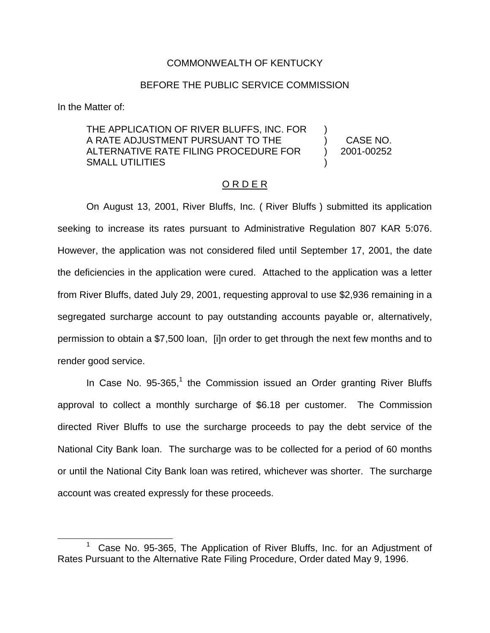## COMMONWEALTH OF KENTUCKY

## BEFORE THE PUBLIC SERVICE COMMISSION

In the Matter of:

## THE APPLICATION OF RIVER BLUFFS, INC. FOR A RATE ADJUSTMENT PURSUANT TO THE ALTERNATIVE RATE FILING PROCEDURE FOR SMALL UTILITIES ) ) CASE NO. ) 2001-00252 )

## O R D E R

On August 13, 2001, River Bluffs, Inc. ( River Bluffs ) submitted its application seeking to increase its rates pursuant to Administrative Regulation 807 KAR 5:076. However, the application was not considered filed until September 17, 2001, the date the deficiencies in the application were cured. Attached to the application was a letter from River Bluffs, dated July 29, 2001, requesting approval to use \$2,936 remaining in a segregated surcharge account to pay outstanding accounts payable or, alternatively, permission to obtain a \$7,500 loan, [i]n order to get through the next few months and to render good service.

In Case No.  $95-365$ ,<sup>1</sup> the Commission issued an Order granting River Bluffs approval to collect a monthly surcharge of \$6.18 per customer. The Commission directed River Bluffs to use the surcharge proceeds to pay the debt service of the National City Bank loan. The surcharge was to be collected for a period of 60 months or until the National City Bank loan was retired, whichever was shorter. The surcharge account was created expressly for these proceeds.

Case No. 95-365, The Application of River Bluffs, Inc. for an Adjustment of Rates Pursuant to the Alternative Rate Filing Procedure, Order dated May 9, 1996.